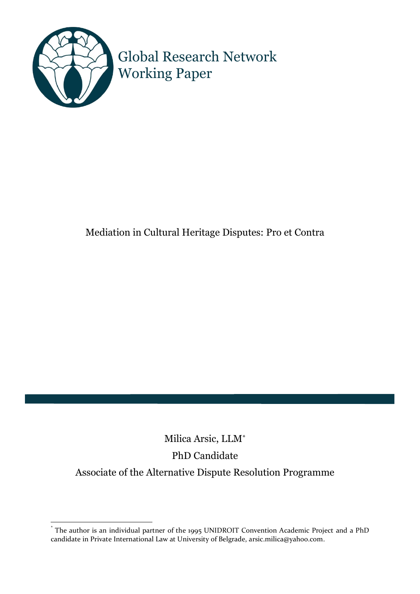

Global Research Network Working Paper

# Mediation in Cultural Heritage Disputes: Pro et Contra

# Milica Arsic, LLM\* PhD Candidate Associate of the Alternative Dispute Resolution Programme

<sup>\*</sup> The author is an individual partner of the 1995 UNIDROIT Convention Academic Project and a PhD candidate in Private International Law at University of Belgrade, arsic.milica@yahoo.com.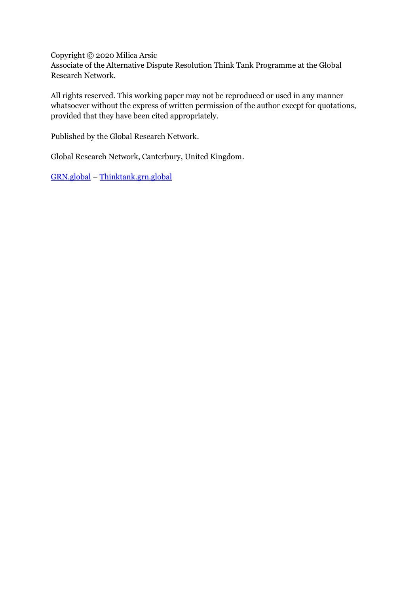Copyright © 2020 Milica Arsic

Associate of the Alternative Dispute Resolution Think Tank Programme at the Global Research Network.

All rights reserved. This working paper may not be reproduced or used in any manner whatsoever without the express of written permission of the author except for quotations, provided that they have been cited appropriately.

Published by the Global Research Network.

Global Research Network, Canterbury, United Kingdom.

[GRN.global](grn.global) – [Thinktank.grn.global](thinktank.grn.global)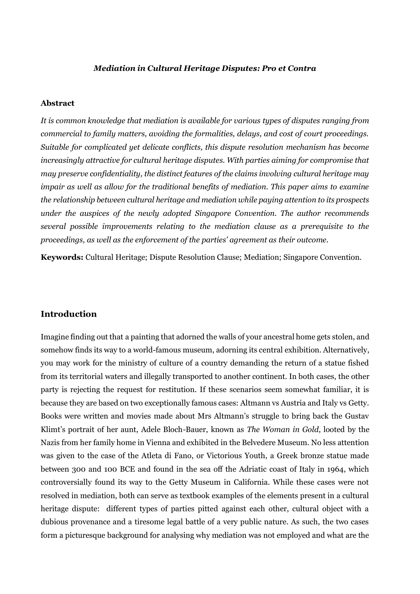#### *Mediation in Cultural Heritage Disputes: Pro et Contra*

#### **Abstract**

*It is common knowledge that mediation is available for various types of disputes ranging from commercial to family matters, avoiding the formalities, delays, and cost of court proceedings. Suitable for complicated yet delicate conflicts, this dispute resolution mechanism has become increasingly attractive for cultural heritage disputes. With parties aiming for compromise that may preserve confidentiality, the distinct features of the claims involving cultural heritage may impair as well as allow for the traditional benefits of mediation. This paper aims to examine the relationship between cultural heritage and mediation while paying attention to its prospects under the auspices of the newly adopted Singapore Convention. The author recommends several possible improvements relating to the mediation clause as a prerequisite to the proceedings, as well as the enforcement of the parties' agreement as their outcome.*

**Keywords:** Cultural Heritage; Dispute Resolution Clause; Mediation; Singapore Convention.

# **Introduction**

Imagine finding out that a painting that adorned the walls of your ancestral home gets stolen, and somehow finds its way to a world-famous museum, adorning its central exhibition. Alternatively, you may work for the ministry of culture of a country demanding the return of a statue fished from its territorial waters and illegally transported to another continent. In both cases, the other party is rejecting the request for restitution. If these scenarios seem somewhat familiar, it is because they are based on two exceptionally famous cases: Altmann vs Austria and Italy vs Getty. Books were written and movies made about Mrs Altmann's struggle to bring back the Gustav Klimt's portrait of her aunt, Adele Bloch-Bauer, known as *The Woman in Gold*, looted by the Nazis from her family home in Vienna and exhibited in the Belvedere Museum. No less attention was given to the case of the Atleta di Fano, or Victorious Youth, a Greek bronze statue made between 300 and 100 BCE and found in the sea off the Adriatic coast of Italy in 1964, which controversially found its way to the Getty Museum in California. While these cases were not resolved in mediation, both can serve as textbook examples of the elements present in a cultural heritage dispute: different types of parties pitted against each other, cultural object with a dubious provenance and a tiresome legal battle of a very public nature. As such, the two cases form a picturesque background for analysing why mediation was not employed and what are the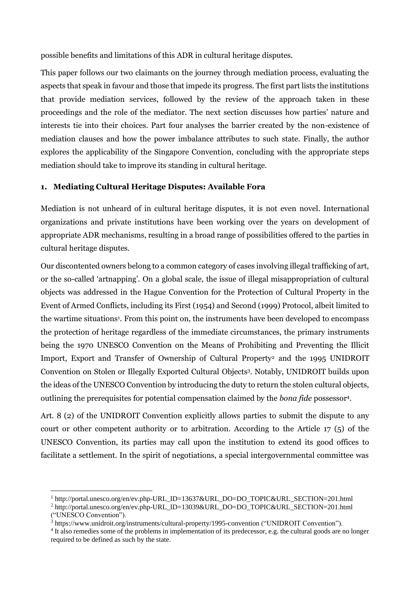possible benefits and limitations of this ADR in cultural heritage disputes.

This paper follows our two claimants on the journey through mediation process, evaluating the aspects that speak in favour and those that impede its progress. The first part lists the institutions that provide mediation services, followed by the review of the approach taken in these proceedings and the role of the mediator. The next section discusses how parties' nature and interests tie into their choices. Part four analyses the barrier created by the non-existence of mediation clauses and how the power imbalance attributes to such state. Finally, the author explores the applicability of the Singapore Convention, concluding with the appropriate steps mediation should take to improve its standing in cultural heritage.

#### **1. Mediating Cultural Heritage Disputes: Available Fora**

Mediation is not unheard of in cultural heritage disputes, it is not even novel. International organizations and private institutions have been working over the years on development of appropriate ADR mechanisms, resulting in a broad range of possibilities offered to the parties in cultural heritage disputes.

Our discontented owners belong to a common category of cases involving illegal trafficking of art, or the so-called 'artnapping'. On a global scale, the issue of illegal misappropriation of cultural objects was addressed in the Hague Convention for the Protection of Cultural Property in the Event of Armed Conflicts, including its First (1954) and Second (1999) Protocol, albeit limited to the wartime situations<sup>1</sup>. From this point on, the instruments have been developed to encompass the protection of heritage regardless of the immediate circumstances, the primary instruments being the 1970 UNESCO Convention on the Means of Prohibiting and Preventing the Illicit Import, Export and Transfer of Ownership of Cultural Property<sup>2</sup> and the 1995 UNIDROIT Convention on Stolen or Illegally Exported Cultural Objects<sup>3</sup>. Notably, UNIDROIT builds upon the ideas of the UNESCO Convention by introducing the duty to return the stolen cultural objects, outlining the prerequisites for potential compensation claimed by the *bona fide* possessor<sup>4</sup> .

Art. 8 (2) of the UNIDROIT Convention explicitly allows parties to submit the dispute to any court or other competent authority or to arbitration. According to the Article 17 (5) of the UNESCO Convention, its parties may call upon the institution to extend its good offices to facilitate a settlement. In the spirit of negotiations, a special intergovernmental committee was

<sup>&</sup>lt;sup>1</sup> http://portal.unesco.org/en/ev.php-URL\_ID=13637&URL\_DO=DO\_TOPIC&URL\_SECTION=201.html <sup>2</sup> http://portal.unesco.org/en/ev.php-URL\_ID=13039&URL\_DO=DO\_TOPIC&URL\_SECTION=201.html

<sup>(&</sup>quot;UNESCO Convention").

<sup>3</sup> https://www.unidroit.org/instruments/cultural-property/1995-convention ("UNIDROIT Convention").

<sup>&</sup>lt;sup>4</sup> It also remedies some of the problems in implementation of its predecessor, e.g. the cultural goods are no longer required to be defined as such by the state.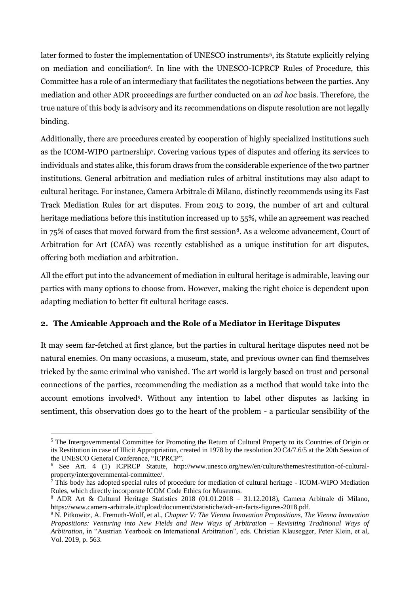later formed to foster the implementation of UNESCO instruments<sup>5</sup>, its Statute explicitly relying on mediation and conciliation<sup>6</sup>. In line with the UNESCO-ICPRCP Rules of Procedure, this Committee has a role of an intermediary that facilitates the negotiations between the parties. Any mediation and other ADR proceedings are further conducted on an *ad hoc* basis. Therefore, the true nature of this body is advisory and its recommendations on dispute resolution are not legally binding.

Additionally, there are procedures created by cooperation of highly specialized institutions such as the ICOM-WIPO partnership<sup>7</sup> . Covering various types of disputes and offering its services to individuals and states alike, this forum draws from the considerable experience of the two partner institutions. General arbitration and mediation rules of arbitral institutions may also adapt to cultural heritage. For instance, Camera Arbitrale di Milano, distinctly recommends using its Fast Track Mediation Rules for art disputes. From 2015 to 2019, the number of art and cultural heritage mediations before this institution increased up to 55%, while an agreement was reached in 75% of cases that moved forward from the first session<sup>8</sup>. As a welcome advancement, Court of Arbitration for Art (CAfA) was recently established as a unique institution for art disputes, offering both mediation and arbitration.

All the effort put into the advancement of mediation in cultural heritage is admirable, leaving our parties with many options to choose from. However, making the right choice is dependent upon adapting mediation to better fit cultural heritage cases.

## **2. The Amicable Approach and the Role of a Mediator in Heritage Disputes**

It may seem far-fetched at first glance, but the parties in cultural heritage disputes need not be natural enemies. On many occasions, a museum, state, and previous owner can find themselves tricked by the same criminal who vanished. The art world is largely based on trust and personal connections of the parties, recommending the mediation as a method that would take into the account emotions involved<sup>9</sup>. Without any intention to label other disputes as lacking in sentiment, this observation does go to the heart of the problem - a particular sensibility of the

<sup>5</sup> The Intergovernmental Committee for Promoting the Return of Cultural Property to its Countries of Origin or its Restitution in case of Illicit Appropriation, created in 1978 by the resolution 20 C4/7.6/5 at the 20th Session of the UNESCO General Conference, "ICPRCP".

<sup>6</sup> See Art. 4 (1) ICPRCP Statute, http://www.unesco.org/new/en/culture/themes/restitution-of-culturalproperty/intergovernmental-committee/.

 $^7$  This body has adopted special rules of procedure for mediation of cultural heritage - ICOM-WIPO Mediation Rules, which directly incorporate ICOM Code Ethics for Museums.

<sup>8</sup> ADR Art & Cultural Heritage Statistics 2018 (01.01.2018 – 31.12.2018), Camera Arbitrale di Milano, https://www.camera-arbitrale.it/upload/documenti/statistiche/adr-art-facts-figures-2018.pdf.

<sup>9</sup> N. Pitkowitz, A. Fremuth-Wolf, et al., *Chapter V: The Vienna Innovation Propositions, The Vienna Innovation Propositions: Venturing into New Fields and New Ways of Arbitration – Revisiting Traditional Ways of Arbitration*, in "Austrian Yearbook on International Arbitration", eds. Christian Klausegger, Peter Klein, et al, Vol. 2019, p. 563.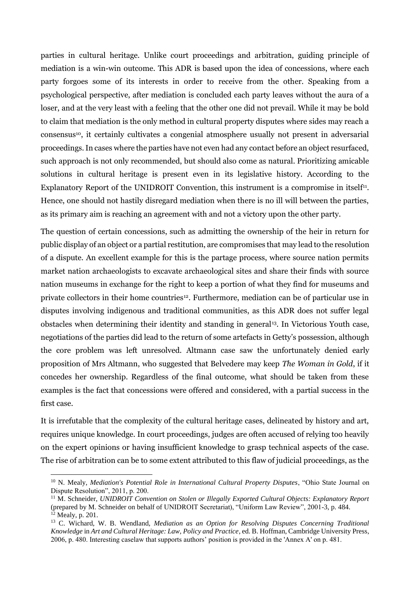parties in cultural heritage. Unlike court proceedings and arbitration, guiding principle of mediation is a win-win outcome. This ADR is based upon the idea of concessions, where each party forgoes some of its interests in order to receive from the other. Speaking from a psychological perspective, after mediation is concluded each party leaves without the aura of a loser, and at the very least with a feeling that the other one did not prevail. While it may be bold to claim that mediation is the only method in cultural property disputes where sides may reach a consensus<sup>10</sup>, it certainly cultivates a congenial atmosphere usually not present in adversarial proceedings. In cases where the parties have not even had any contact before an object resurfaced, such approach is not only recommended, but should also come as natural. Prioritizing amicable solutions in cultural heritage is present even in its legislative history. According to the Explanatory Report of the UNIDROIT Convention, this instrument is a compromise in itself<sup>11</sup>. Hence, one should not hastily disregard mediation when there is no ill will between the parties, as its primary aim is reaching an agreement with and not a victory upon the other party.

The question of certain concessions, such as admitting the ownership of the heir in return for public display of an object or a partial restitution, are compromises that may lead to the resolution of a dispute. An excellent example for this is the partage process, where source nation permits market nation archaeologists to excavate archaeological sites and share their finds with source nation museums in exchange for the right to keep a portion of what they find for museums and private collectors in their home countries<sup>12</sup>. Furthermore, mediation can be of particular use in disputes involving indigenous and traditional communities, as this ADR does not suffer legal obstacles when determining their identity and standing in general<sup>13</sup>. In Victorious Youth case, negotiations of the parties did lead to the return of some artefacts in Getty's possession, although the core problem was left unresolved. Altmann case saw the unfortunately denied early proposition of Mrs Altmann, who suggested that Belvedere may keep *The Woman in Gold*, if it concedes her ownership. Regardless of the final outcome, what should be taken from these examples is the fact that concessions were offered and considered, with a partial success in the first case.

It is irrefutable that the complexity of the cultural heritage cases, delineated by history and art, requires unique knowledge. In court proceedings, judges are often accused of relying too heavily on the expert opinions or having insufficient knowledge to grasp technical aspects of the case. The rise of arbitration can be to some extent attributed to this flaw of judicial proceedings, as the

<sup>10</sup> N. Mealy, *Mediation's Potential Role in International Cultural Property Disputes*, "Ohio State Journal on Dispute Resolution", 2011, p. 200.

<sup>11</sup> M. Schneider, *UNIDROIT Convention on Stolen or Illegally Exported Cultural Objects: Explanatory Report* (prepared by M. Schneider on behalf of UNIDROIT Secretariat), "Uniform Law Review", 2001-3, p. 484.  $12$  Mealy, p. 201.

<sup>13</sup> C. Wichard, W. B. Wendland, *Mediation as an Option for Resolving Disputes Concerning Traditional Knowledge* in *Art and Cultural Heritage: Law, Policy and Practice*, ed. B. Hoffman, Cambridge University Press, 2006, p. 480. Interesting caselaw that supports authors' position is provided in the 'Annex A' on p. 481.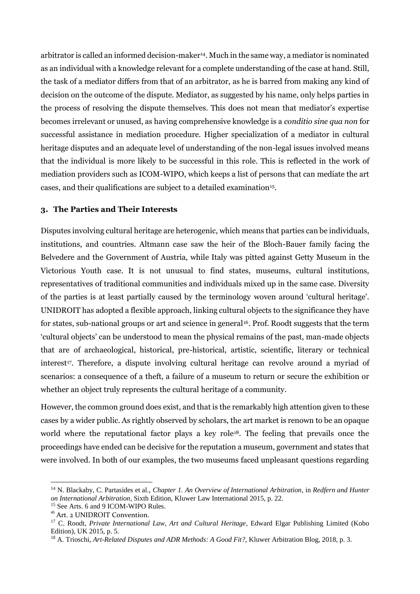arbitrator is called an informed decision-maker<sup>14</sup> . Much in the same way, a mediator is nominated as an individual with a knowledge relevant for a complete understanding of the case at hand. Still, the task of a mediator differs from that of an arbitrator, as he is barred from making any kind of decision on the outcome of the dispute. Mediator, as suggested by his name, only helps parties in the process of resolving the dispute themselves. This does not mean that mediator's expertise becomes irrelevant or unused, as having comprehensive knowledge is a *conditio sine qua non* for successful assistance in mediation procedure. Higher specialization of a mediator in cultural heritage disputes and an adequate level of understanding of the non-legal issues involved means that the individual is more likely to be successful in this role. This is reflected in the work of mediation providers such as ICOM-WIPO, which keeps a list of persons that can mediate the art cases, and their qualifications are subject to a detailed examination<sup>15</sup>.

#### **3. The Parties and Their Interests**

Disputes involving cultural heritage are heterogenic, which means that parties can be individuals, institutions, and countries. Altmann case saw the heir of the Bloch-Bauer family facing the Belvedere and the Government of Austria, while Italy was pitted against Getty Museum in the Victorious Youth case. It is not unusual to find states, museums, cultural institutions, representatives of traditional communities and individuals mixed up in the same case. Diversity of the parties is at least partially caused by the terminology woven around 'cultural heritage'. UNIDROIT has adopted a flexible approach, linking cultural objects to the significance they have for states, sub-national groups or art and science in general<sup>16</sup>. Prof. Roodt suggests that the term 'cultural objects' can be understood to mean the physical remains of the past, man-made objects that are of archaeological, historical, pre-historical, artistic, scientific, literary or technical interest<sup>17</sup>. Therefore, a dispute involving cultural heritage can revolve around a myriad of scenarios: a consequence of a theft, a failure of a museum to return or secure the exhibition or whether an object truly represents the cultural heritage of a community.

However, the common ground does exist, and that is the remarkably high attention given to these cases by a wider public. As rightly observed by scholars, the art market is renown to be an opaque world where the reputational factor plays a key role<sup>18</sup>. The feeling that prevails once the proceedings have ended can be decisive for the reputation a museum, government and states that were involved. In both of our examples, the two museums faced unpleasant questions regarding

<sup>14</sup> N. Blackaby, C. Partasides et al., *Chapter 1. An Overview of International Arbitration*, in *Redfern and Hunter on International Arbitration*, Sixth Edition, Kluwer Law International 2015, p. 22.

<sup>&</sup>lt;sup>15</sup> See Arts. 6 and 9 ICOM-WIPO Rules.

<sup>&</sup>lt;sup>16</sup> Art. 2 UNIDROIT Convention.

<sup>17</sup> C. Roodt, *Private International Law, Art and Cultural Heritage*, Edward Elgar Publishing Limited (Kobo Edition), UK 2015, p. 5.

<sup>18</sup> A. Trioschi, *Art-Related Disputes and ADR Methods: A Good Fit?,* Kluwer Arbitration Blog, 2018, p. 3.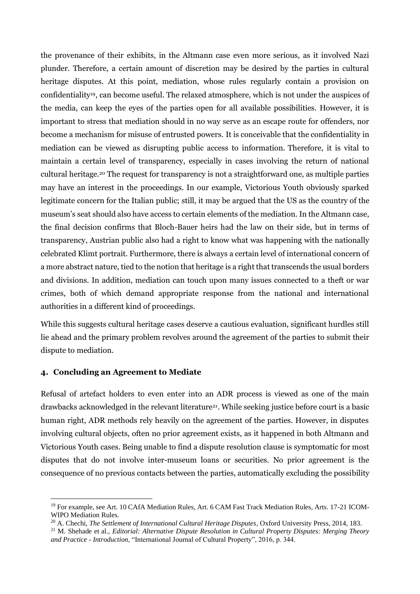the provenance of their exhibits, in the Altmann case even more serious, as it involved Nazi plunder. Therefore, a certain amount of discretion may be desired by the parties in cultural heritage disputes. At this point, mediation, whose rules regularly contain a provision on confidentiality19, can become useful. The relaxed atmosphere, which is not under the auspices of the media, can keep the eyes of the parties open for all available possibilities. However, it is important to stress that mediation should in no way serve as an escape route for offenders, nor become a mechanism for misuse of entrusted powers. It is conceivable that the confidentiality in mediation can be viewed as disrupting public access to information. Therefore, it is vital to maintain a certain level of transparency, especially in cases involving the return of national cultural heritage.<sup>20</sup> The request for transparency is not a straightforward one, as multiple parties may have an interest in the proceedings. In our example, Victorious Youth obviously sparked legitimate concern for the Italian public; still, it may be argued that the US as the country of the museum's seat should also have access to certain elements of the mediation. In the Altmann case, the final decision confirms that Bloch-Bauer heirs had the law on their side, but in terms of transparency, Austrian public also had a right to know what was happening with the nationally celebrated Klimt portrait. Furthermore, there is always a certain level of international concern of a more abstract nature, tied to the notion that heritage is a right that transcends the usual borders and divisions. In addition, mediation can touch upon many issues connected to a theft or war crimes, both of which demand appropriate response from the national and international authorities in a different kind of proceedings.

While this suggests cultural heritage cases deserve a cautious evaluation, significant hurdles still lie ahead and the primary problem revolves around the agreement of the parties to submit their dispute to mediation.

#### **4. Concluding an Agreement to Mediate**

Refusal of artefact holders to even enter into an ADR process is viewed as one of the main drawbacks acknowledged in the relevant literature<sup>21</sup>. While seeking justice before court is a basic human right, ADR methods rely heavily on the agreement of the parties. However, in disputes involving cultural objects, often no prior agreement exists, as it happened in both Altmann and Victorious Youth cases. Being unable to find a dispute resolution clause is symptomatic for most disputes that do not involve inter-museum loans or securities. No prior agreement is the consequence of no previous contacts between the parties, automatically excluding the possibility

<sup>&</sup>lt;sup>19</sup> For example, see Art. 10 CAfA Mediation Rules, Art. 6 CAM Fast Track Mediation Rules, Arts. 17-21 ICOM-WIPO Mediation Rules.

<sup>20</sup> A. Chechi, *The Settlement of International Cultural Heritage Disputes*, Oxford University Press, 2014, 183.

<sup>21</sup> M. Shehade et al., *Editorial: Alternative Dispute Resolution in Cultural Property Disputes: Merging Theory and Practice - Introduction*, "International Journal of Cultural Property", 2016, p. 344.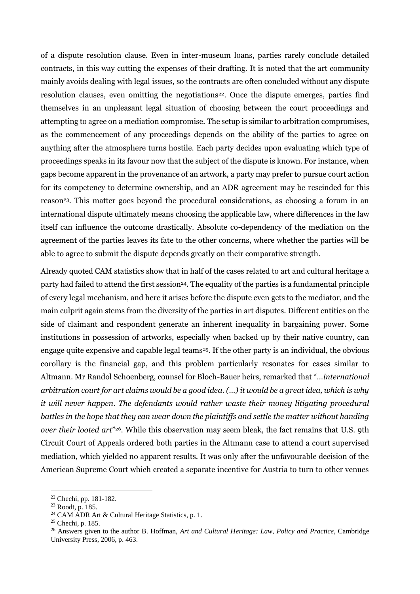of a dispute resolution clause. Even in inter-museum loans, parties rarely conclude detailed contracts, in this way cutting the expenses of their drafting. It is noted that the art community mainly avoids dealing with legal issues, so the contracts are often concluded without any dispute resolution clauses, even omitting the negotiations<sup>22</sup>. Once the dispute emerges, parties find themselves in an unpleasant legal situation of choosing between the court proceedings and attempting to agree on a mediation compromise. The setup is similar to arbitration compromises, as the commencement of any proceedings depends on the ability of the parties to agree on anything after the atmosphere turns hostile. Each party decides upon evaluating which type of proceedings speaks in its favour now that the subject of the dispute is known. For instance, when gaps become apparent in the provenance of an artwork, a party may prefer to pursue court action for its competency to determine ownership, and an ADR agreement may be rescinded for this reason<sup>23</sup>. This matter goes beyond the procedural considerations, as choosing a forum in an international dispute ultimately means choosing the applicable law, where differences in the law itself can influence the outcome drastically. Absolute co-dependency of the mediation on the agreement of the parties leaves its fate to the other concerns, where whether the parties will be able to agree to submit the dispute depends greatly on their comparative strength.

Already quoted CAM statistics show that in half of the cases related to art and cultural heritage a party had failed to attend the first session<sup>24</sup>. The equality of the parties is a fundamental principle of every legal mechanism, and here it arises before the dispute even gets to the mediator, and the main culprit again stems from the diversity of the parties in art disputes. Different entities on the side of claimant and respondent generate an inherent inequality in bargaining power. Some institutions in possession of artworks, especially when backed up by their native country, can engage quite expensive and capable legal teams<sup>25</sup>. If the other party is an individual, the obvious corollary is the financial gap, and this problem particularly resonates for cases similar to Altmann. Mr Randol Schoenberg, counsel for Bloch-Bauer heirs, remarked that "…*international arbitration court for art claims would be a good idea. (…) it would be a great idea, which is why it will never happen*. *The defendants would rather waste their money litigating procedural battles in the hope that they can wear down the plaintiffs and settle the matter without handing over their looted art*" <sup>26</sup>. While this observation may seem bleak, the fact remains that U.S. 9th Circuit Court of Appeals ordered both parties in the Altmann case to attend a court supervised mediation, which yielded no apparent results. It was only after the unfavourable decision of the American Supreme Court which created a separate incentive for Austria to turn to other venues

<sup>22</sup> Chechi, pp. 181-182.

<sup>23</sup> Roodt, p. 185.

<sup>&</sup>lt;sup>24</sup> CAM ADR Art & Cultural Heritage Statistics, p. 1.

<sup>25</sup> Chechi, p. 185.

<sup>26</sup> Answers given to the author B. Hoffman, *Art and Cultural Heritage: Law, Policy and Practice*, Cambridge University Press, 2006, p. 463.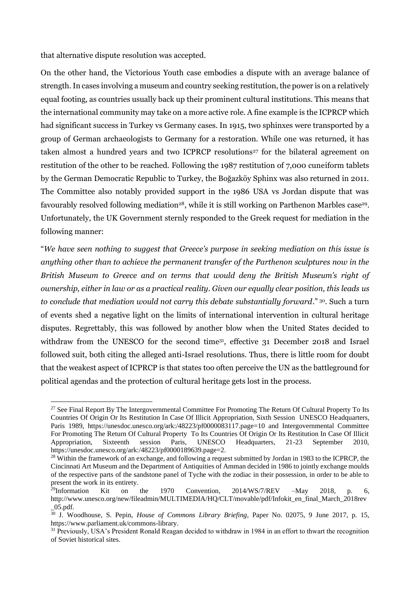that alternative dispute resolution was accepted.

On the other hand, the Victorious Youth case embodies a dispute with an average balance of strength. In cases involving a museum and country seeking restitution, the power is on a relatively equal footing, as countries usually back up their prominent cultural institutions. This means that the international community may take on a more active role. A fine example is the ICPRCP which had significant success in Turkey vs Germany cases. In 1915, two sphinxes were transported by a group of German archaeologists to Germany for a restoration. While one was returned, it has taken almost a hundred years and two ICPRCP resolutions<sup>27</sup> for the bilateral agreement on restitution of the other to be reached. Following the 1987 restitution of 7,000 cuneiform tablets by the German Democratic Republic to Turkey, the Boğazköy Sphinx was also returned in 2011. The Committee also notably provided support in the 1986 USA vs Jordan dispute that was favourably resolved following mediation<sup>28</sup>, while it is still working on Parthenon Marbles case<sup>29</sup>. Unfortunately, the UK Government sternly responded to the Greek request for mediation in the following manner:

"*We have seen nothing to suggest that Greece's purpose in seeking mediation on this issue is anything other than to achieve the permanent transfer of the Parthenon sculptures now in the British Museum to Greece and on terms that would deny the British Museum's right of ownership, either in law or as a practical reality. Given our equally clear position, this leads us to conclude that mediation would not carry this debate substantially forward.*" <sup>30</sup>. Such a turn of events shed a negative light on the limits of international intervention in cultural heritage disputes. Regrettably, this was followed by another blow when the United States decided to withdraw from the UNESCO for the second time<sup>31</sup>, effective 31 December 2018 and Israel followed suit, both citing the alleged anti-Israel resolutions. Thus, there is little room for doubt that the weakest aspect of ICPRCP is that states too often perceive the UN as the battleground for political agendas and the protection of cultural heritage gets lost in the process.

<sup>&</sup>lt;sup>27</sup> See Final Report By The Intergovernmental Committee For Promoting The Return Of Cultural Property To Its Countries Of Origin Or Its Restitution In Case Of Illicit Appropriation, Sixth Session UNESCO Headquarters, Paris 1989, https://unesdoc.unesco.org/ark:/48223/pf0000083117.page=10 and Intergovernmental Committee For Promoting The Return Of Cultural Property To Its Countries Of Origin Or Its Restitution In Case Of Illicit Appropriation, Sixteenth session Paris, UNESCO Headquarters, 21-23 September 2010, https://unesdoc.unesco.org/ark:/48223/pf0000189639.page=2.

<sup>&</sup>lt;sup>28</sup> Within the framework of an exchange, and following a request submitted by Jordan in 1983 to the ICPRCP, the Cincinnati Art Museum and the Department of Antiquities of Amman decided in 1986 to jointly exchange moulds of the respective parts of the sandstone panel of Tyche with the zodiac in their possession, in order to be able to present the work in its entirety.<br><sup>29</sup>Information Kit on

Kit on the 1970 Convention,  $2014/Ws/7/REV$  –May 2018, p. 6, http://www.unesco.org/new/fileadmin/MULTIMEDIA/HQ/CLT/movable/pdf/Infokit\_en\_final\_March\_2018rev \_05.pdf.

<sup>30</sup> J. Woodhouse, S. Pepin, *House of Commons Library Briefing*, Paper No. 02075, 9 June 2017, p. 15, https://www.parliament.uk/commons-library.

<sup>&</sup>lt;sup>31</sup> Previously, USA's President Ronald Reagan decided to withdraw in 1984 in an effort to thwart the recognition of Soviet historical sites.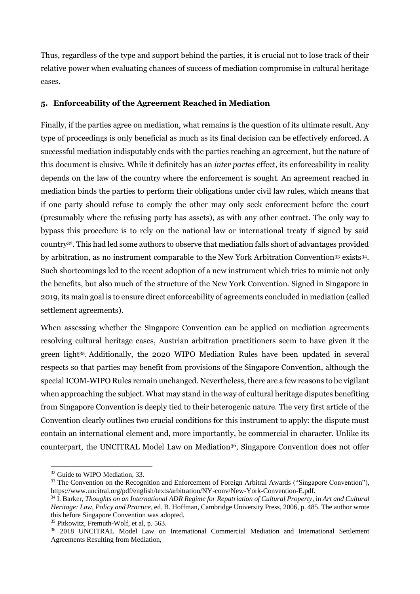Thus, regardless of the type and support behind the parties, it is crucial not to lose track of their relative power when evaluating chances of success of mediation compromise in cultural heritage cases.

# **5. Enforceability of the Agreement Reached in Mediation**

Finally, if the parties agree on mediation, what remains is the question of its ultimate result. Any type of proceedings is only beneficial as much as its final decision can be effectively enforced. A successful mediation indisputably ends with the parties reaching an agreement, but the nature of this document is elusive. While it definitely has an *inter partes* effect, its enforceability in reality depends on the law of the country where the enforcement is sought. An agreement reached in mediation binds the parties to perform their obligations under civil law rules, which means that if one party should refuse to comply the other may only seek enforcement before the court (presumably where the refusing party has assets), as with any other contract. The only way to bypass this procedure is to rely on the national law or international treaty if signed by said country32. This had led some authors to observe that mediation falls short of advantages provided by arbitration, as no instrument comparable to the New York Arbitration Convention<sup>33</sup> exists<sup>34</sup>. Such shortcomings led to the recent adoption of a new instrument which tries to mimic not only the benefits, but also much of the structure of the New York Convention. Signed in Singapore in 2019, its main goal is to ensure direct enforceability of agreements concluded in mediation (called settlement agreements).

When assessing whether the Singapore Convention can be applied on mediation agreements resolving cultural heritage cases, Austrian arbitration practitioners seem to have given it the green light<sup>35</sup> . Additionally, the 2020 WIPO Mediation Rules have been updated in several respects so that parties may benefit from provisions of the Singapore Convention, although the special ICOM-WIPO Rules remain unchanged. Nevertheless, there are a few reasons to be vigilant when approaching the subject. What may stand in the way of cultural heritage disputes benefiting from Singapore Convention is deeply tied to their heterogenic nature. The very first article of the Convention clearly outlines two crucial conditions for this instrument to apply: the dispute must contain an international element and, more importantly, be commercial in character. Unlike its counterpart, the UNCITRAL Model Law on Mediation<sup>36</sup>, Singapore Convention does not offer

<sup>&</sup>lt;sup>32</sup> Guide to WIPO Mediation, 33.

<sup>&</sup>lt;sup>33</sup> The Convention on the Recognition and Enforcement of Foreign Arbitral Awards ("Singapore Convention"), https://www.uncitral.org/pdf/english/texts/arbitration/NY-conv/New-York-Convention-E.pdf.

<sup>34</sup> I. Barker, *Thoughts on an International ADR Regime for Repatriation of Cultural Property*, in *Art and Cultural Heritage: Law, Policy and Practice,* ed. B. Hoffman, Cambridge University Press, 2006, p. 485. The author wrote this before Singapore Convention was adopted.

<sup>35</sup> Pitkowitz, Fremuth-Wolf, et al, p. 563.

<sup>&</sup>lt;sup>36</sup> 2018 UNCITRAL Model Law on International Commercial Mediation and International Settlement Agreements Resulting from Mediation,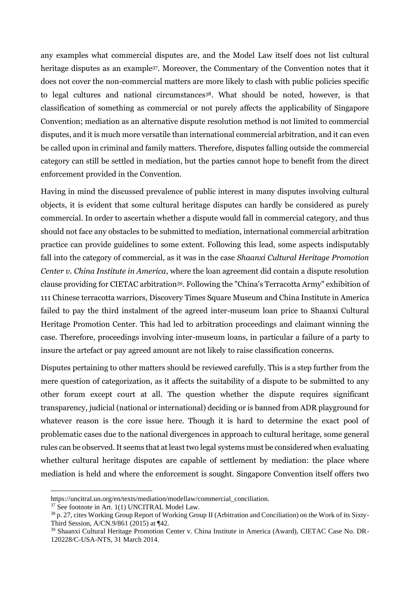any examples what commercial disputes are, and the Model Law itself does not list cultural heritage disputes as an example<sup>37</sup>. Moreover, the Commentary of the Convention notes that it does not cover the non-commercial matters are more likely to clash with public policies specific to legal cultures and national circumstances<sup>38</sup>. What should be noted, however, is that classification of something as commercial or not purely affects the applicability of Singapore Convention; mediation as an alternative dispute resolution method is not limited to commercial disputes, and it is much more versatile than international commercial arbitration, and it can even be called upon in criminal and family matters. Therefore, disputes falling outside the commercial category can still be settled in mediation, but the parties cannot hope to benefit from the direct enforcement provided in the Convention.

Having in mind the discussed prevalence of public interest in many disputes involving cultural objects, it is evident that some cultural heritage disputes can hardly be considered as purely commercial. In order to ascertain whether a dispute would fall in commercial category, and thus should not face any obstacles to be submitted to mediation, international commercial arbitration practice can provide guidelines to some extent. Following this lead, some aspects indisputably fall into the category of commercial, as it was in the case *Shaanxi Cultural Heritage Promotion Center v. China Institute in America*, where the loan agreement did contain a dispute resolution clause providing for CIETAC arbitration39. Following the "China's Terracotta Army" exhibition of 111 Chinese terracotta warriors, Discovery Times Square Museum and China Institute in America failed to pay the third instalment of the agreed inter-museum loan price to Shaanxi Cultural Heritage Promotion Center. This had led to arbitration proceedings and claimant winning the case. Therefore, proceedings involving inter-museum loans, in particular a failure of a party to insure the artefact or pay agreed amount are not likely to raise classification concerns.

Disputes pertaining to other matters should be reviewed carefully. This is a step further from the mere question of categorization, as it affects the suitability of a dispute to be submitted to any other forum except court at all. The question whether the dispute requires significant transparency, judicial (national or international) deciding or is banned from ADR playground for whatever reason is the core issue here. Though it is hard to determine the exact pool of problematic cases due to the national divergences in approach to cultural heritage, some general rules can be observed. It seems that at least two legal systems must be considered when evaluating whether cultural heritage disputes are capable of settlement by mediation: the place where mediation is held and where the enforcement is sought. Singapore Convention itself offers two

https://uncitral.un.org/en/texts/mediation/modellaw/commercial\_conciliation.

<sup>&</sup>lt;sup>37</sup> See footnote in Art. 1(1) UNCITRAL Model Law.

<sup>38</sup> p. 27, cites Working Group Report of Working Group II (Arbitration and Conciliation) on the Work of its Sixty-Third Session, A/CN.9/861 (2015) at ¶42.

<sup>39</sup> Shaanxi Cultural Heritage Promotion Center v. China Institute in America (Award), CIETAC Case No. DR-120228/C-USA-NTS, 31 March 2014.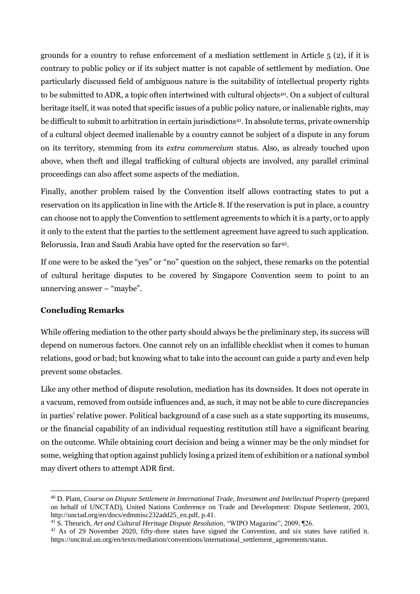grounds for a country to refuse enforcement of a mediation settlement in Article 5 (2), if it is contrary to public policy or if its subject matter is not capable of settlement by mediation. One particularly discussed field of ambiguous nature is the suitability of intellectual property rights to be submitted to ADR, a topic often intertwined with cultural objects40. On a subject of cultural heritage itself, it was noted that specific issues of a public policy nature, or inalienable rights, may be difficult to submit to arbitration in certain jurisdictions<sup>41</sup> . In absolute terms, private ownership of a cultural object deemed inalienable by a country cannot be subject of a dispute in any forum on its territory, stemming from its *extra commercium* status. Also, as already touched upon above, when theft and illegal trafficking of cultural objects are involved, any parallel criminal proceedings can also affect some aspects of the mediation.

Finally, another problem raised by the Convention itself allows contracting states to put a reservation on its application in line with the Article 8. If the reservation is put in place, a country can choose not to apply the Convention to settlement agreements to which it is a party, or to apply it only to the extent that the parties to the settlement agreement have agreed to such application. Belorussia, Iran and Saudi Arabia have opted for the reservation so far<sup>42</sup>.

If one were to be asked the "yes" or "no" question on the subject, these remarks on the potential of cultural heritage disputes to be covered by Singapore Convention seem to point to an unnerving answer – "maybe".

## **Concluding Remarks**

While offering mediation to the other party should always be the preliminary step, its success will depend on numerous factors. One cannot rely on an infallible checklist when it comes to human relations, good or bad; but knowing what to take into the account can guide a party and even help prevent some obstacles.

Like any other method of dispute resolution, mediation has its downsides. It does not operate in a vacuum, removed from outside influences and, as such, it may not be able to cure discrepancies in parties' relative power. Political background of a case such as a state supporting its museums, or the financial capability of an individual requesting restitution still have a significant bearing on the outcome. While obtaining court decision and being a winner may be the only mindset for some, weighing that option against publicly losing a prized item of exhibition or a national symbol may divert others to attempt ADR first.

<sup>40</sup> D. Plant, *Course on Dispute Settlement in International Trade, Investment and Intellectual Property* (prepared on behalf of UNCTAD), United Nations Conference on Trade and Development: Dispute Settlement, 2003, http://unctad.org/en/docs/edmmisc232add25\_en.pdf, p.41.

<sup>41</sup> S. Theurich, *Art and Cultural Heritage Dispute Resolution*, "WIPO Magazine", 2009, ¶26.

<sup>&</sup>lt;sup>42</sup> As of 29 November 2020, fifty-three states have signed the Convention, and six states have ratified it. https://uncitral.un.org/en/texts/mediation/conventions/international\_settlement\_agreements/status.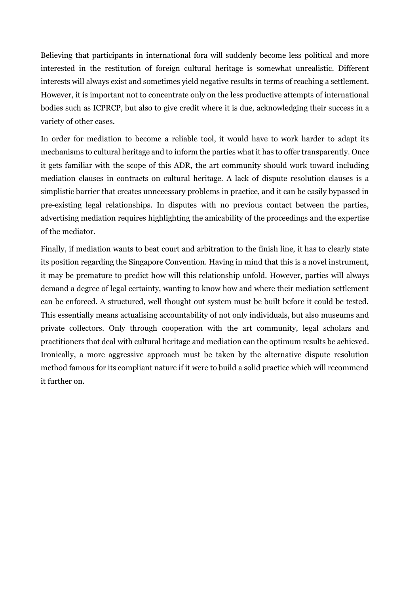Believing that participants in international fora will suddenly become less political and more interested in the restitution of foreign cultural heritage is somewhat unrealistic. Different interests will always exist and sometimes yield negative results in terms of reaching a settlement. However, it is important not to concentrate only on the less productive attempts of international bodies such as ICPRCP, but also to give credit where it is due, acknowledging their success in a variety of other cases.

In order for mediation to become a reliable tool, it would have to work harder to adapt its mechanisms to cultural heritage and to inform the parties what it has to offer transparently. Once it gets familiar with the scope of this ADR, the art community should work toward including mediation clauses in contracts on cultural heritage. A lack of dispute resolution clauses is a simplistic barrier that creates unnecessary problems in practice, and it can be easily bypassed in pre-existing legal relationships. In disputes with no previous contact between the parties, advertising mediation requires highlighting the amicability of the proceedings and the expertise of the mediator.

Finally, if mediation wants to beat court and arbitration to the finish line, it has to clearly state its position regarding the Singapore Convention. Having in mind that this is a novel instrument, it may be premature to predict how will this relationship unfold. However, parties will always demand a degree of legal certainty, wanting to know how and where their mediation settlement can be enforced. A structured, well thought out system must be built before it could be tested. This essentially means actualising accountability of not only individuals, but also museums and private collectors. Only through cooperation with the art community, legal scholars and practitioners that deal with cultural heritage and mediation can the optimum results be achieved. Ironically, a more aggressive approach must be taken by the alternative dispute resolution method famous for its compliant nature if it were to build a solid practice which will recommend it further on.